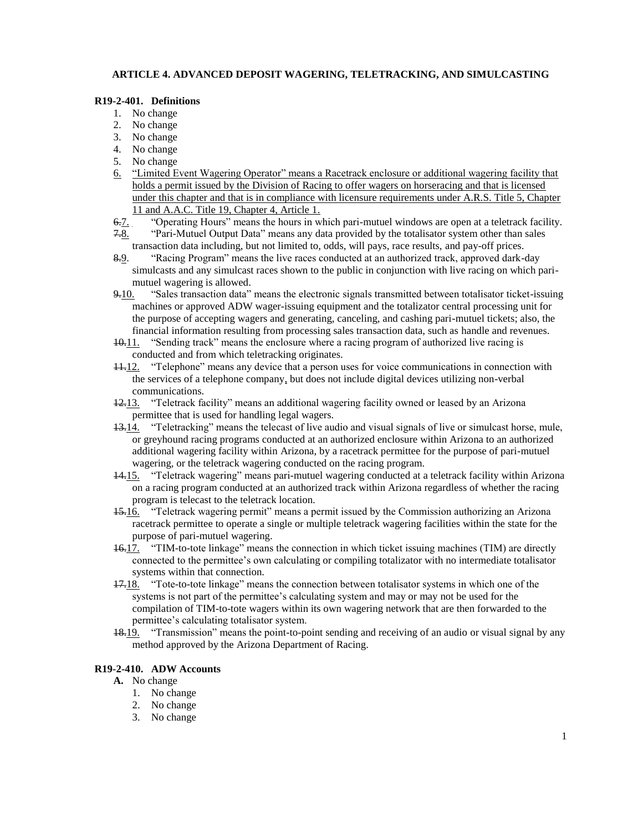## **ARTICLE 4. ADVANCED DEPOSIT WAGERING, TELETRACKING, AND SIMULCASTING**

## **R19-2-401. Definitions**

- 1. No change
- 2. No change
- 3. No change
- 4. No change
- 5. No change
- 6. "Limited Event Wagering Operator" means a Racetrack enclosure or additional wagering facility that holds a permit issued by the Division of Racing to offer wagers on horseracing and that is licensed under this chapter and that is in compliance with licensure requirements under A.R.S. Title 5, Chapter 11 and A.A.C. Title 19, Chapter 4, Article 1.
- 6.7. "Operating Hours" means the hours in which pari-mutuel windows are open at a teletrack facility.
- 7.8. "Pari-Mutuel Output Data" means any data provided by the totalisator system other than sales transaction data including, but not limited to, odds, will pays, race results, and pay-off prices.
- 8.9. "Racing Program" means the live races conducted at an authorized track, approved dark-day simulcasts and any simulcast races shown to the public in conjunction with live racing on which parimutuel wagering is allowed.
- 9.10. "Sales transaction data" means the electronic signals transmitted between totalisator ticket-issuing machines or approved ADW wager-issuing equipment and the totalizator central processing unit for the purpose of accepting wagers and generating, canceling, and cashing pari-mutuel tickets; also, the financial information resulting from processing sales transaction data, such as handle and revenues.
- $10.11$ . "Sending track" means the enclosure where a racing program of authorized live racing is conducted and from which teletracking originates.
- 11.12. "Telephone" means any device that a person uses for voice communications in connection with the services of a telephone company, but does not include digital devices utilizing non-verbal communications.
- 12.13. "Teletrack facility" means an additional wagering facility owned or leased by an Arizona permittee that is used for handling legal wagers.
- $13.14$ . "Teletracking" means the telecast of live audio and visual signals of live or simulcast horse, mule, or greyhound racing programs conducted at an authorized enclosure within Arizona to an authorized additional wagering facility within Arizona, by a racetrack permittee for the purpose of pari-mutuel wagering, or the teletrack wagering conducted on the racing program.
- 14.15. "Teletrack wagering" means pari-mutuel wagering conducted at a teletrack facility within Arizona on a racing program conducted at an authorized track within Arizona regardless of whether the racing program is telecast to the teletrack location.
- 15.16. "Teletrack wagering permit" means a permit issued by the Commission authorizing an Arizona racetrack permittee to operate a single or multiple teletrack wagering facilities within the state for the purpose of pari-mutuel wagering.
- 16.17. "TIM-to-tote linkage" means the connection in which ticket issuing machines (TIM) are directly connected to the permittee's own calculating or compiling totalizator with no intermediate totalisator systems within that connection.
- 17.18. "Tote-to-tote linkage" means the connection between totalisator systems in which one of the systems is not part of the permittee's calculating system and may or may not be used for the compilation of TIM-to-tote wagers within its own wagering network that are then forwarded to the permittee's calculating totalisator system.
- 18.19. "Transmission" means the point-to-point sending and receiving of an audio or visual signal by any method approved by the Arizona Department of Racing.

## **R19-2-410. ADW Accounts**

## **A.** No change

- 1. No change
- 2. No change
- 3. No change